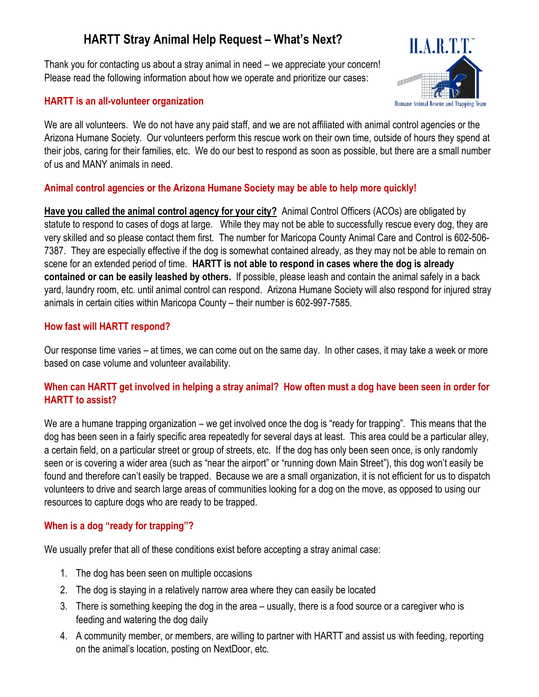# **HARTT Stray Animal Help Request – What's Next?**

Thank you for contacting us about a stray animal in need – we appreciate your concern! Please read the following information about how we operate and prioritize our cases:



#### **HARTT is an all-volunteer organization**

We are all volunteers. We do not have any paid staff, and we are not affiliated with animal control agencies or the Arizona Humane Society. Our volunteers perform this rescue work on their own time, outside of hours they spend at their jobs, caring for their families, etc. We do our best to respond as soon as possible, but there are a small number of us and MANY animals in need.

## **Animal control agencies or the Arizona Humane Society may be able to help more quickly!**

**Have you called the animal control agency for your city?** Animal Control Officers (ACOs) are obligated by statute to respond to cases of dogs at large. While they may not be able to successfully rescue every dog, they are very skilled and so please contact them first. The number for Maricopa County Animal Care and Control is 602-506- 7387. They are especially effective if the dog is somewhat contained already, as they may not be able to remain on scene for an extended period of time. **HARTT is not able to respond in cases where the dog is already contained or can be easily leashed by others.** If possible, please leash and contain the animal safely in a back yard, laundry room, etc. until animal control can respond. Arizona Humane Society will also respond for injured stray animals in certain cities within Maricopa County – their number is 602-997-7585.

## **How fast will HARTT respond?**

Our response time varies – at times, we can come out on the same day. In other cases, it may take a week or more based on case volume and volunteer availability.

## **When can HARTT get involved in helping a stray animal? How often must a dog have been seen in order for HARTT to assist?**

We are a humane trapping organization – we get involved once the dog is "ready for trapping". This means that the dog has been seen in a fairly specific area repeatedly for several days at least. This area could be a particular alley, a certain field, on a particular street or group of streets, etc. If the dog has only been seen once, is only randomly seen or is covering a wider area (such as "near the airport" or "running down Main Street"), this dog won't easily be found and therefore can't easily be trapped. Because we are a small organization, it is not efficient for us to dispatch volunteers to drive and search large areas of communities looking for a dog on the move, as opposed to using our resources to capture dogs who are ready to be trapped.

# **When is a dog "ready for trapping"?**

We usually prefer that all of these conditions exist before accepting a stray animal case:

- 1. The dog has been seen on multiple occasions
- 2. The dog is staying in a relatively narrow area where they can easily be located
- 3. There is something keeping the dog in the area usually, there is a food source or a caregiver who is feeding and watering the dog daily
- 4. A community member, or members, are willing to partner with HARTT and assist us with feeding, reporting on the animal's location, posting on NextDoor, etc.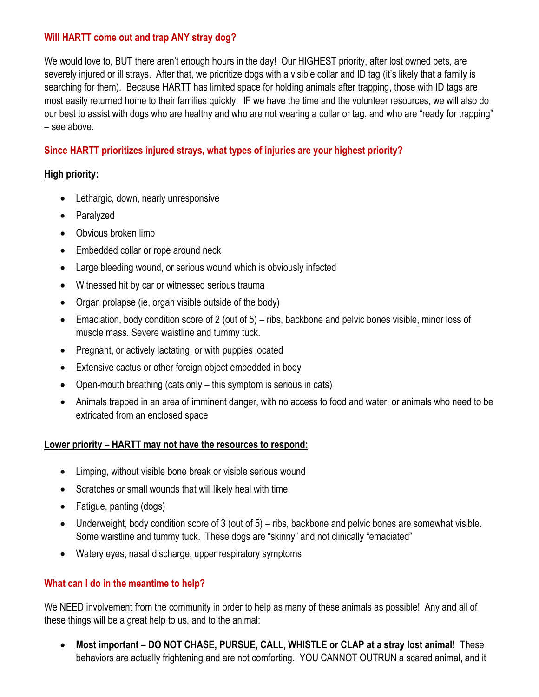## **Will HARTT come out and trap ANY stray dog?**

We would love to, BUT there aren't enough hours in the day! Our HIGHEST priority, after lost owned pets, are severely injured or ill strays. After that, we prioritize dogs with a visible collar and ID tag (it's likely that a family is searching for them). Because HARTT has limited space for holding animals after trapping, those with ID tags are most easily returned home to their families quickly. IF we have the time and the volunteer resources, we will also do our best to assist with dogs who are healthy and who are not wearing a collar or tag, and who are "ready for trapping" – see above.

## **Since HARTT prioritizes injured strays, what types of injuries are your highest priority?**

#### **High priority:**

- Lethargic, down, nearly unresponsive
- Paralyzed
- Obvious broken limb
- Embedded collar or rope around neck
- Large bleeding wound, or serious wound which is obviously infected
- Witnessed hit by car or witnessed serious trauma
- Organ prolapse (ie, organ visible outside of the body)
- Emaciation, body condition score of 2 (out of 5) ribs, backbone and pelvic bones visible, minor loss of muscle mass. Severe waistline and tummy tuck.
- Pregnant, or actively lactating, or with puppies located
- Extensive cactus or other foreign object embedded in body
- Open-mouth breathing (cats only this symptom is serious in cats)
- Animals trapped in an area of imminent danger, with no access to food and water, or animals who need to be extricated from an enclosed space

#### **Lower priority – HARTT may not have the resources to respond:**

- Limping, without visible bone break or visible serious wound
- Scratches or small wounds that will likely heal with time
- Fatigue, panting (dogs)
- Underweight, body condition score of 3 (out of 5) ribs, backbone and pelvic bones are somewhat visible. Some waistline and tummy tuck. These dogs are "skinny" and not clinically "emaciated"
- Watery eyes, nasal discharge, upper respiratory symptoms

#### **What can I do in the meantime to help?**

We NEED involvement from the community in order to help as many of these animals as possible! Any and all of these things will be a great help to us, and to the animal:

 **Most important – DO NOT CHASE, PURSUE, CALL, WHISTLE or CLAP at a stray lost animal!** These behaviors are actually frightening and are not comforting. YOU CANNOT OUTRUN a scared animal, and it